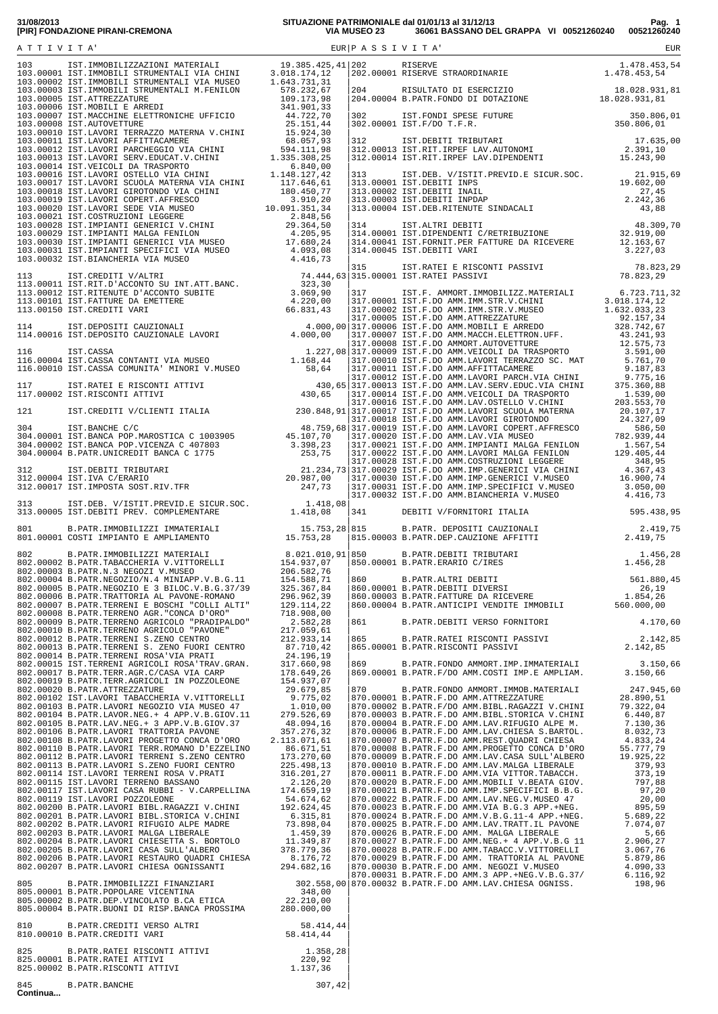| 801 B.PATR.IMMOBILIZZI IMMATERIALI 15.753,28 815 B.PATR. DEPOSITI CAUZIONALI 2.419,75<br>801.00001 COSTI IMPIANTO E AMPLIAMENTO 15.753,28 815.00003 B.PATR.DEP.CAUZIONE AFFITTI 2.419,75 |  |                                                                                                                                                                                                                  |          |
|------------------------------------------------------------------------------------------------------------------------------------------------------------------------------------------|--|------------------------------------------------------------------------------------------------------------------------------------------------------------------------------------------------------------------|----------|
|                                                                                                                                                                                          |  |                                                                                                                                                                                                                  | 1.456,28 |
|                                                                                                                                                                                          |  |                                                                                                                                                                                                                  |          |
|                                                                                                                                                                                          |  | B. PATR. DEBITI VERSO FORNITORI 4.170,60                                                                                                                                                                         |          |
|                                                                                                                                                                                          |  |                                                                                                                                                                                                                  |          |
|                                                                                                                                                                                          |  | 865 B.PATR.RATEI RISCONTI PASSIVI (2.142,85<br>865.00001 B.PATR.RISCONTI PASSIVI (2.142,85<br>869.00001 B.PATR.F/DO AMMORT.IMP.IMMATERIALI (3.150,66<br>869.00001 B.PATR.F/DO AMM.COSTI IMP.E AMPLIAM. (3.150,66 |          |
|                                                                                                                                                                                          |  |                                                                                                                                                                                                                  |          |
|                                                                                                                                                                                          |  |                                                                                                                                                                                                                  |          |
|                                                                                                                                                                                          |  |                                                                                                                                                                                                                  |          |
|                                                                                                                                                                                          |  |                                                                                                                                                                                                                  |          |
|                                                                                                                                                                                          |  |                                                                                                                                                                                                                  |          |
|                                                                                                                                                                                          |  |                                                                                                                                                                                                                  |          |
|                                                                                                                                                                                          |  |                                                                                                                                                                                                                  |          |
|                                                                                                                                                                                          |  |                                                                                                                                                                                                                  |          |
|                                                                                                                                                                                          |  |                                                                                                                                                                                                                  |          |
|                                                                                                                                                                                          |  |                                                                                                                                                                                                                  |          |

802.00203 B.PATR.LAVORI MALGA LIBERALE 5,66 [1.459,39 | 870.00026 B.PATR.F.DO AMM. MALGA LIBERALE 5,66 [5,66 ]<br>802.00204 B.PATR.LAVORI CHIESETTA S. BORTOLO [1.349,87 | 870.00027 B.PATR.F.DO AMM.NEG.+ 4 APP.V.B.G 11 [2.906, 802.00205 B.PATR.LAVORI CASA SULL'ALBERO 670.00028 B.PATR.F.DO AMM.IABACC.V.VIILORENT 5.879,86<br>802.00206 B.PATR.LAVORI RESTAURO QUADRI CHIESA 8.176,72 |870.00029 B.PATR.F.DO AMM. TRATTORIA AL PAVONE 5.879,86<br>802.00207 B.PA 802.00207 B.PATR.LAVORI CHIESA OGNISSANTI 294.682,16 870.00030 B.PATR.F.DO AMM. NEGOZI V.MUSEO 4.090,33<br>870.00031 B.PATR.F.DO AMM.3 APP.+NEG.V.B.G.37/ 6.116,92 805 B.PATR.IMMOBILIZZI FINANZIARI 302.558,00 870.00032 B.PATR.F.DO AMM.LAV.CHIESA OGNISS. 198,96<br>805.00001 B.PATR.POPOLARE VICENTINA 348,00<br>805.00002 B.PATR.DEP.VINCOLATO B.CA ETICA 22.210,00

805.00001 B.PATR.POPOLARE VICENTINA 348,00 | 805.00002 B.PATR.DEP.VINCOLATO B.CA ETICA 22.210,00 | 805.00004 B.PATR.BUONI DI RISP.BANCA PROSSIMA 280.000,00 | edition of the Section of the Section of the Section of the Section of the Section of the Section of the Section of Section of the Section of the Section of the Section of the Section of the Section of the Section of the S

 | 825 B.PATR.RATEI RISCONTI ATTIVI 1.358,28| 825.00001 B.PATR.RATEI ATTIVI 220,92 | 825.00002 B.PATR.RISCONTI ATTIVI 1.137,36 | | 845 B.PATR.BANCHE 307,42

**Continua...**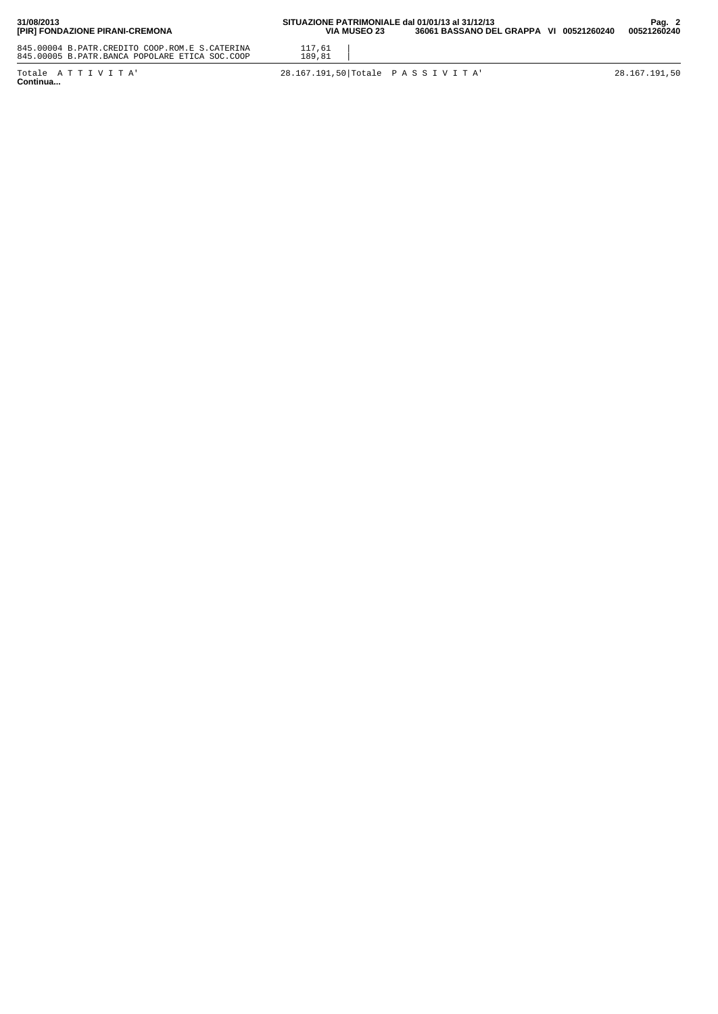| 31/08/2013<br>[PIR] FONDAZIONE PIRANI-CREMONA                                                    | SITUAZIONE PATRIMONIALE dal 01/01/13 al 31/12/13<br>VIA MUSEO 23 | 36061 BASSANO DEL GRAPPA VI 00521260240 |  | Pag. $2$<br>00521260240 |
|--------------------------------------------------------------------------------------------------|------------------------------------------------------------------|-----------------------------------------|--|-------------------------|
| 845.00004 B.PATR.CREDITO COOP.ROM.E S.CATERINA<br>845.00005 B.PATR.BANCA POPOLARE ETICA SOC.COOP | 117,61<br>189,81                                                 |                                         |  |                         |
| Totale ATTIVITA'<br>- -                                                                          | 28.167.191,50 Totale PASSIVITA                                   |                                         |  | 28.167.191.50           |

Totale ATTIVITA'<br>**Continua...**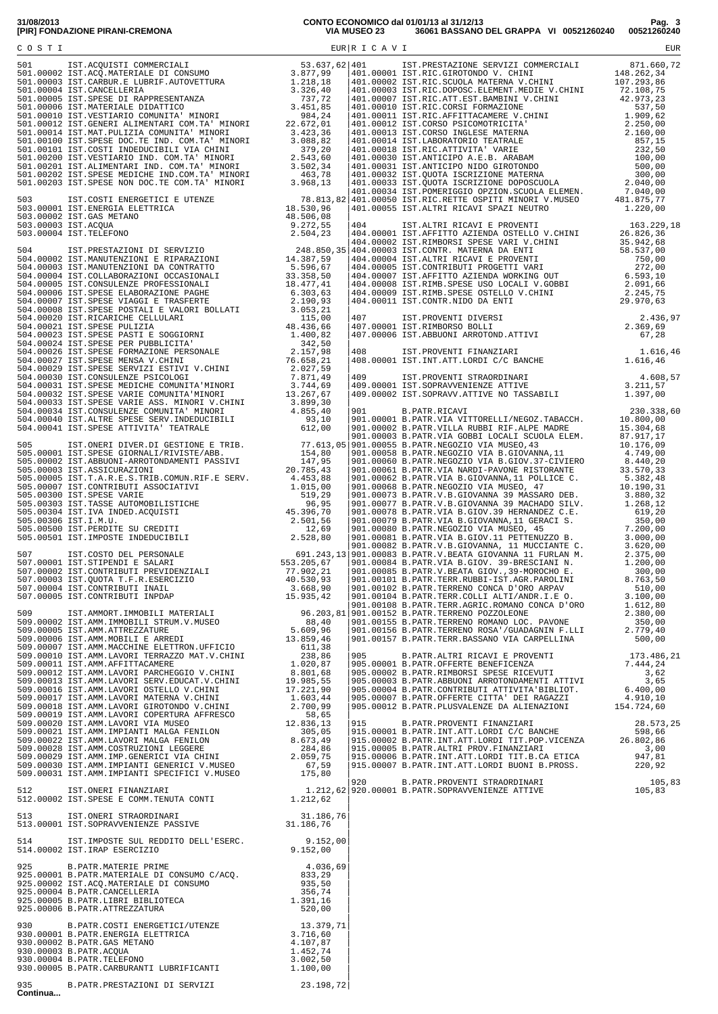**31/08/2013 CONTO ECONOMICO dal 01/01/13 al 31/12/13 Pag. 3 [PIR] FONDAZIONE PIRANI-CREMONA VIA MUSEO 23 36061 BASSANO DEL GRAPPA VI 00521260240 00521260240**

|                 |                                                                                                                                                                                                                                          |           | 915 B.PATR.PROVENTI FINANZIARI 28.573,25<br>915.00001 B.PATR.INT.ATT.LORDI C/C BANCHE 598,66<br>915.00002 B.PATR.INT.ATT.LORDI TIT.POP.VICENZA 26.802,86<br>915.00005 B.PATR.ALTRI PROV.FINANZIARI 3,00<br>915.00006 B.PATR.INT.ATT.LO |  |
|-----------------|------------------------------------------------------------------------------------------------------------------------------------------------------------------------------------------------------------------------------------------|-----------|----------------------------------------------------------------------------------------------------------------------------------------------------------------------------------------------------------------------------------------|--|
|                 |                                                                                                                                                                                                                                          |           |                                                                                                                                                                                                                                        |  |
|                 | 512.00002 20100202 20100202 20100202 201002<br>513.00001 IST.SOPRAVVENIENZE PASSIVE 31.186,76                                                                                                                                            | 31.186,76 |                                                                                                                                                                                                                                        |  |
|                 |                                                                                                                                                                                                                                          |           |                                                                                                                                                                                                                                        |  |
|                 | 31.100770 131.30FARVENIENZE FASSIVE<br>14.00002 IST.IRAP ESERCIZIO 9.152,00<br>925 B.PATR.MATERIE PRIME<br>925.00001 B.PATR.MATERIE PRIME<br>925.00001 B.PATR.MATERIE DI CONSUMO C/ACQ. 833,29<br>925.00001 B.PATR.ACQ.MATERIALE DI CONS |           |                                                                                                                                                                                                                                        |  |
|                 |                                                                                                                                                                                                                                          |           |                                                                                                                                                                                                                                        |  |
| 935<br>Continua | B.PATR.PRESTAZIONI DI SERVIZI 23.198,72                                                                                                                                                                                                  |           |                                                                                                                                                                                                                                        |  |